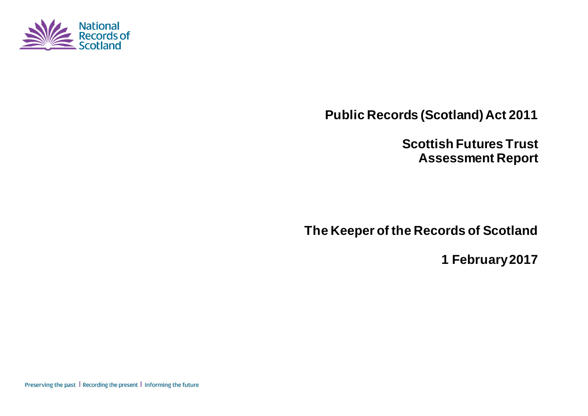

**Public Records (Scotland) Act 2011**

**Scottish Futures Trust Assessment Report**

**The Keeper of the Records of Scotland**

**1 February 2017**

Preserving the past | Recording the present | Informing the future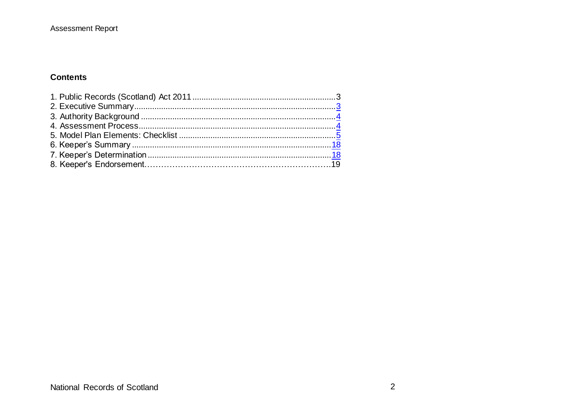#### **Contents**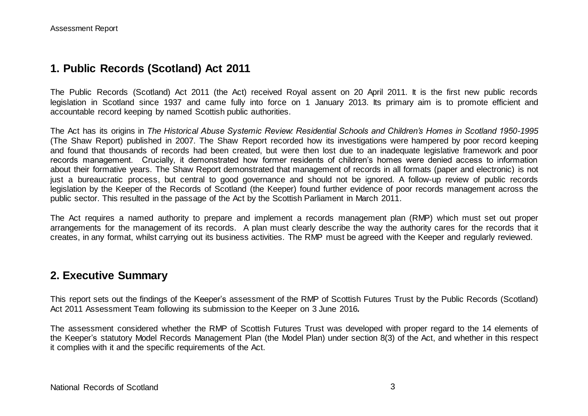## **1. Public Records (Scotland) Act 2011**

The Public Records (Scotland) Act 2011 (the Act) received Royal assent on 20 April 2011. It is the first new public records legislation in Scotland since 1937 and came fully into force on 1 January 2013. Its primary aim is to promote efficient and accountable record keeping by named Scottish public authorities.

The Act has its origins in *The Historical Abuse Systemic Review: Residential Schools and Children's Homes in Scotland 1950-1995* (The Shaw Report) published in 2007. The Shaw Report recorded how its investigations were hampered by poor record keeping and found that thousands of records had been created, but were then lost due to an inadequate legislative framework and poor records management. Crucially, it demonstrated how former residents of children's homes were denied access to information about their formative years. The Shaw Report demonstrated that management of records in all formats (paper and electronic) is not just a bureaucratic process, but central to good governance and should not be ignored. A follow-up review of public records legislation by the Keeper of the Records of Scotland (the Keeper) found further evidence of poor records management across the public sector. This resulted in the passage of the Act by the Scottish Parliament in March 2011.

The Act requires a named authority to prepare and implement a records management plan (RMP) which must set out proper arrangements for the management of its records. A plan must clearly describe the way the authority cares for the records that it creates, in any format, whilst carrying out its business activities. The RMP must be agreed with the Keeper and regularly reviewed.

### **2. Executive Summary**

This report sets out the findings of the Keeper's assessment of the RMP of Scottish Futures Trust by the Public Records (Scotland) Act 2011 Assessment Team following its submission to the Keeper on 3 June 2016*.*

The assessment considered whether the RMP of Scottish Futures Trust was developed with proper regard to the 14 elements of the Keeper's statutory Model Records Management Plan (the Model Plan) under section 8(3) of the Act, and whether in this respect it complies with it and the specific requirements of the Act.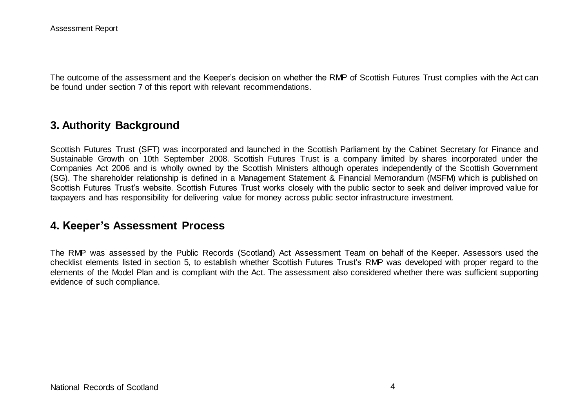The outcome of the assessment and the Keeper's decision on whether the RMP of Scottish Futures Trust complies with the Act can be found under section 7 of this report with relevant recommendations.

### **3. Authority Background**

Scottish Futures Trust (SFT) was incorporated and launched in the Scottish Parliament by the Cabinet Secretary for Finance and Sustainable Growth on 10th September 2008. Scottish Futures Trust is a company limited by shares incorporated under the Companies Act 2006 and is wholly owned by the Scottish Ministers although operates independently of the Scottish Government (SG). The shareholder relationship is defined in a Management Statement & Financial Memorandum (MSFM) which is published on Scottish Futures Trust's website. Scottish Futures Trust works closely with the public sector to seek and deliver improved value for taxpayers and has responsibility for delivering value for money across public sector infrastructure investment.

### **4. Keeper's Assessment Process**

The RMP was assessed by the Public Records (Scotland) Act Assessment Team on behalf of the Keeper. Assessors used the checklist elements listed in section 5, to establish whether Scottish Futures Trust's RMP was developed with proper regard to the elements of the Model Plan and is compliant with the Act. The assessment also considered whether there was sufficient supporting evidence of such compliance.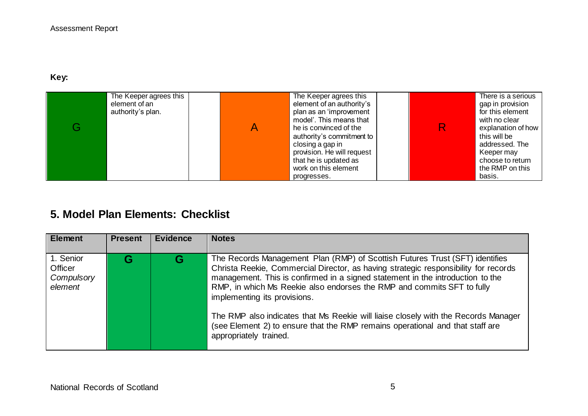## **Key:**

| The Keeper agrees this<br>element of an<br>authority's plan. | The Keeper agrees this<br>element of an authority's<br>plan as an 'improvement<br>model'. This means that<br>he is convinced of the<br>authority's commitment to<br>closing a gap in<br>provision. He will request<br>that he is updated as<br>work on this element | R | There is a serious<br>gap in provision<br>for this element<br>with no clear<br>explanation of how<br>this will be<br>addressed. The<br>Keeper may<br>choose to return<br>the RMP on this |
|--------------------------------------------------------------|---------------------------------------------------------------------------------------------------------------------------------------------------------------------------------------------------------------------------------------------------------------------|---|------------------------------------------------------------------------------------------------------------------------------------------------------------------------------------------|
|                                                              | progresses.                                                                                                                                                                                                                                                         |   | basis.                                                                                                                                                                                   |

# **5. Model Plan Elements: Checklist**

| <b>Element</b>                                | <b>Present</b> | <b>Evidence</b> | <b>Notes</b>                                                                                                                                                                                                                                                                                                                                                                                                                                                                                                                                                     |
|-----------------------------------------------|----------------|-----------------|------------------------------------------------------------------------------------------------------------------------------------------------------------------------------------------------------------------------------------------------------------------------------------------------------------------------------------------------------------------------------------------------------------------------------------------------------------------------------------------------------------------------------------------------------------------|
| 1. Senior<br>Officer<br>Compulsory<br>element |                | G               | The Records Management Plan (RMP) of Scottish Futures Trust (SFT) identifies<br>Christa Reekie, Commercial Director, as having strategic responsibility for records<br>management. This is confirmed in a signed statement in the introduction to the<br>RMP, in which Ms Reekie also endorses the RMP and commits SFT to fully<br>implementing its provisions.<br>The RMP also indicates that Ms Reekie will liaise closely with the Records Manager<br>(see Element 2) to ensure that the RMP remains operational and that staff are<br>appropriately trained. |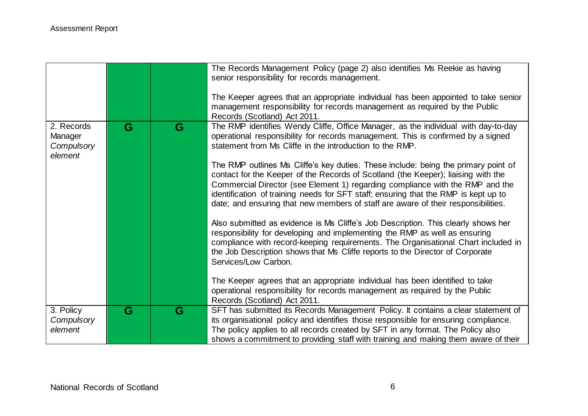|                                                |   |   | The Records Management Policy (page 2) also identifies Ms Reekie as having<br>senior responsibility for records management.<br>The Keeper agrees that an appropriate individual has been appointed to take senior<br>management responsibility for records management as required by the Public<br>Records (Scotland) Act 2011.                                                                                                                                                                                                                                                                                                                                                                                                                                                                                                                                                                                                                                                                                                                                                                                                                                                                                                            |
|------------------------------------------------|---|---|--------------------------------------------------------------------------------------------------------------------------------------------------------------------------------------------------------------------------------------------------------------------------------------------------------------------------------------------------------------------------------------------------------------------------------------------------------------------------------------------------------------------------------------------------------------------------------------------------------------------------------------------------------------------------------------------------------------------------------------------------------------------------------------------------------------------------------------------------------------------------------------------------------------------------------------------------------------------------------------------------------------------------------------------------------------------------------------------------------------------------------------------------------------------------------------------------------------------------------------------|
| 2. Records<br>Manager<br>Compulsory<br>element | G | G | The RMP identifies Wendy Cliffe, Office Manager, as the individual with day-to-day<br>operational responsibility for records management. This is confirmed by a signed<br>statement from Ms Cliffe in the introduction to the RMP.<br>The RMP outlines Ms Cliffe's key duties. These include: being the primary point of<br>contact for the Keeper of the Records of Scotland (the Keeper); liaising with the<br>Commercial Director (see Element 1) regarding compliance with the RMP and the<br>identification of training needs for SFT staff; ensuring that the RMP is kept up to<br>date; and ensuring that new members of staff are aware of their responsibilities.<br>Also submitted as evidence is Ms Cliffe's Job Description. This clearly shows her<br>responsibility for developing and implementing the RMP as well as ensuring<br>compliance with record-keeping requirements. The Organisational Chart included in<br>the Job Description shows that Ms Cliffe reports to the Director of Corporate<br>Services/Low Carbon.<br>The Keeper agrees that an appropriate individual has been identified to take<br>operational responsibility for records management as required by the Public<br>Records (Scotland) Act 2011. |
| 3. Policy<br>Compulsory<br>element             | G | G | SFT has submitted its Records Management Policy. It contains a clear statement of<br>its organisational policy and identifies those responsible for ensuring compliance.<br>The policy applies to all records created by SFT in any format. The Policy also<br>shows a commitment to providing staff with training and making them aware of their                                                                                                                                                                                                                                                                                                                                                                                                                                                                                                                                                                                                                                                                                                                                                                                                                                                                                          |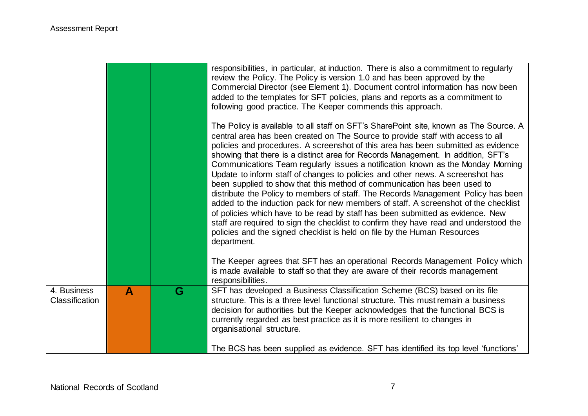|                               |   |   | responsibilities, in particular, at induction. There is also a commitment to regularly<br>review the Policy. The Policy is version 1.0 and has been approved by the<br>Commercial Director (see Element 1). Document control information has now been<br>added to the templates for SFT policies, plans and reports as a commitment to<br>following good practice. The Keeper commends this approach.                                                                                                                                                                                                                                                                                                                                                                                                                                                                                                                                                                                                                                                |
|-------------------------------|---|---|------------------------------------------------------------------------------------------------------------------------------------------------------------------------------------------------------------------------------------------------------------------------------------------------------------------------------------------------------------------------------------------------------------------------------------------------------------------------------------------------------------------------------------------------------------------------------------------------------------------------------------------------------------------------------------------------------------------------------------------------------------------------------------------------------------------------------------------------------------------------------------------------------------------------------------------------------------------------------------------------------------------------------------------------------|
|                               |   |   | The Policy is available to all staff on SFT's SharePoint site, known as The Source. A<br>central area has been created on The Source to provide staff with access to all<br>policies and procedures. A screenshot of this area has been submitted as evidence<br>showing that there is a distinct area for Records Management. In addition, SFT's<br>Communications Team regularly issues a notification known as the Monday Morning<br>Update to inform staff of changes to policies and other news. A screenshot has<br>been supplied to show that this method of communication has been used to<br>distribute the Policy to members of staff. The Records Management Policy has been<br>added to the induction pack for new members of staff. A screenshot of the checklist<br>of policies which have to be read by staff has been submitted as evidence. New<br>staff are required to sign the checklist to confirm they have read and understood the<br>policies and the signed checklist is held on file by the Human Resources<br>department. |
|                               |   |   | The Keeper agrees that SFT has an operational Records Management Policy which<br>is made available to staff so that they are aware of their records management<br>responsibilities.                                                                                                                                                                                                                                                                                                                                                                                                                                                                                                                                                                                                                                                                                                                                                                                                                                                                  |
| 4. Business<br>Classification | A | G | SFT has developed a Business Classification Scheme (BCS) based on its file<br>structure. This is a three level functional structure. This must remain a business<br>decision for authorities but the Keeper acknowledges that the functional BCS is<br>currently regarded as best practice as it is more resilient to changes in<br>organisational structure.<br>The BCS has been supplied as evidence. SFT has identified its top level 'functions'                                                                                                                                                                                                                                                                                                                                                                                                                                                                                                                                                                                                 |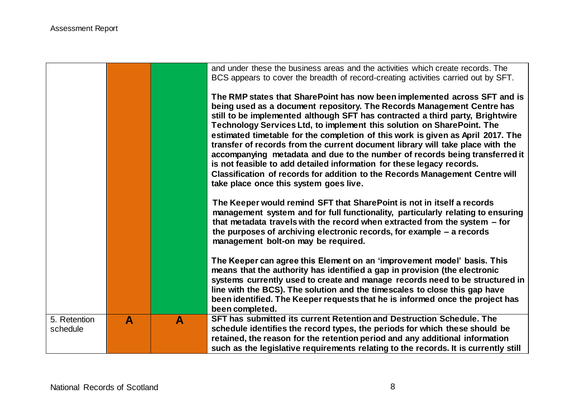|                          |                  |   | and under these the business areas and the activities which create records. The<br>BCS appears to cover the breadth of record-creating activities carried out by SFT.<br>The RMP states that SharePoint has now been implemented across SFT and is<br>being used as a document repository. The Records Management Centre has<br>still to be implemented although SFT has contracted a third party, Brightwire<br>Technology Services Ltd, to implement this solution on SharePoint. The<br>estimated timetable for the completion of this work is given as April 2017. The<br>transfer of records from the current document library will take place with the<br>accompanying metadata and due to the number of records being transferred it<br>is not feasible to add detailed information for these legacy records.<br>Classification of records for addition to the Records Management Centre will<br>take place once this system goes live. |
|--------------------------|------------------|---|------------------------------------------------------------------------------------------------------------------------------------------------------------------------------------------------------------------------------------------------------------------------------------------------------------------------------------------------------------------------------------------------------------------------------------------------------------------------------------------------------------------------------------------------------------------------------------------------------------------------------------------------------------------------------------------------------------------------------------------------------------------------------------------------------------------------------------------------------------------------------------------------------------------------------------------------|
|                          |                  |   | The Keeper would remind SFT that SharePoint is not in itself a records<br>management system and for full functionality, particularly relating to ensuring<br>that metadata travels with the record when extracted from the system $-$ for<br>the purposes of archiving electronic records, for example – a records<br>management bolt-on may be required.                                                                                                                                                                                                                                                                                                                                                                                                                                                                                                                                                                                      |
|                          |                  |   | The Keeper can agree this Element on an 'improvement model' basis. This<br>means that the authority has identified a gap in provision (the electronic<br>systems currently used to create and manage records need to be structured in<br>line with the BCS). The solution and the timescales to close this gap have<br>been identified. The Keeper requests that he is informed once the project has<br>been completed.                                                                                                                                                                                                                                                                                                                                                                                                                                                                                                                        |
| 5. Retention<br>schedule | $\blacktriangle$ | A | SFT has submitted its current Retention and Destruction Schedule. The<br>schedule identifies the record types, the periods for which these should be<br>retained, the reason for the retention period and any additional information<br>such as the legislative requirements relating to the records. It is currently still                                                                                                                                                                                                                                                                                                                                                                                                                                                                                                                                                                                                                    |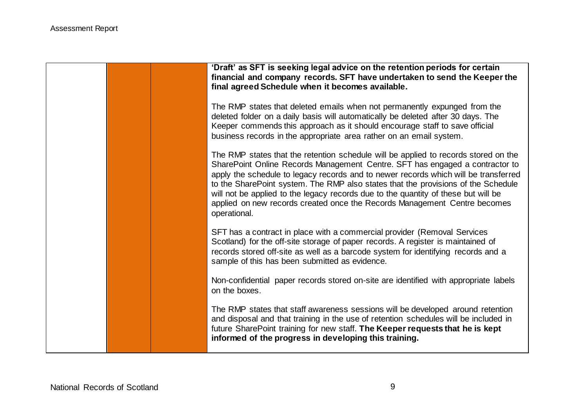|  | 'Draft' as SFT is seeking legal advice on the retention periods for certain<br>financial and company records. SFT have undertaken to send the Keeper the<br>final agreed Schedule when it becomes available.                                                                                                                                                                                                                                                                                                                       |
|--|------------------------------------------------------------------------------------------------------------------------------------------------------------------------------------------------------------------------------------------------------------------------------------------------------------------------------------------------------------------------------------------------------------------------------------------------------------------------------------------------------------------------------------|
|  | The RMP states that deleted emails when not permanently expunged from the<br>deleted folder on a daily basis will automatically be deleted after 30 days. The<br>Keeper commends this approach as it should encourage staff to save official<br>business records in the appropriate area rather on an email system.                                                                                                                                                                                                                |
|  | The RMP states that the retention schedule will be applied to records stored on the<br>SharePoint Online Records Management Centre. SFT has engaged a contractor to<br>apply the schedule to legacy records and to newer records which will be transferred<br>to the SharePoint system. The RMP also states that the provisions of the Schedule<br>will not be applied to the legacy records due to the quantity of these but will be<br>applied on new records created once the Records Management Centre becomes<br>operational. |
|  | SFT has a contract in place with a commercial provider (Removal Services<br>Scotland) for the off-site storage of paper records. A register is maintained of<br>records stored off-site as well as a barcode system for identifying records and a<br>sample of this has been submitted as evidence.                                                                                                                                                                                                                                |
|  | Non-confidential paper records stored on-site are identified with appropriate labels<br>on the boxes.                                                                                                                                                                                                                                                                                                                                                                                                                              |
|  | The RMP states that staff awareness sessions will be developed around retention<br>and disposal and that training in the use of retention schedules will be included in<br>future SharePoint training for new staff. The Keeper requests that he is kept<br>informed of the progress in developing this training.                                                                                                                                                                                                                  |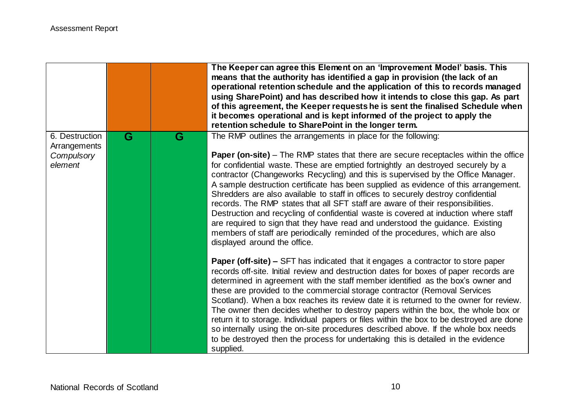|                                |   |   | The Keeper can agree this Element on an 'Improvement Model' basis. This<br>means that the authority has identified a gap in provision (the lack of an<br>operational retention schedule and the application of this to records managed<br>using SharePoint) and has described how it intends to close this gap. As part<br>of this agreement, the Keeper requests he is sent the finalised Schedule when<br>it becomes operational and is kept informed of the project to apply the<br>retention schedule to SharePoint in the longer term.                                                                                                                                                                                                                                                                                 |
|--------------------------------|---|---|-----------------------------------------------------------------------------------------------------------------------------------------------------------------------------------------------------------------------------------------------------------------------------------------------------------------------------------------------------------------------------------------------------------------------------------------------------------------------------------------------------------------------------------------------------------------------------------------------------------------------------------------------------------------------------------------------------------------------------------------------------------------------------------------------------------------------------|
| 6. Destruction<br>Arrangements | G | G | The RMP outlines the arrangements in place for the following:                                                                                                                                                                                                                                                                                                                                                                                                                                                                                                                                                                                                                                                                                                                                                               |
| Compulsory<br>element          |   |   | <b>Paper (on-site)</b> – The RMP states that there are secure receptacles within the office<br>for confidential waste. These are emptied fortnightly an destroyed securely by a<br>contractor (Changeworks Recycling) and this is supervised by the Office Manager.<br>A sample destruction certificate has been supplied as evidence of this arrangement.<br>Shredders are also available to staff in offices to securely destroy confidential<br>records. The RMP states that all SFT staff are aware of their responsibilities.<br>Destruction and recycling of confidential waste is covered at induction where staff<br>are required to sign that they have read and understood the guidance. Existing<br>members of staff are periodically reminded of the procedures, which are also<br>displayed around the office. |
|                                |   |   | <b>Paper (off-site) –</b> SFT has indicated that it engages a contractor to store paper<br>records off-site. Initial review and destruction dates for boxes of paper records are<br>determined in agreement with the staff member identified as the box's owner and<br>these are provided to the commercial storage contractor (Removal Services<br>Scotland). When a box reaches its review date it is returned to the owner for review.<br>The owner then decides whether to destroy papers within the box, the whole box or<br>return it to storage. Individual papers or files within the box to be destroyed are done<br>so internally using the on-site procedures described above. If the whole box needs<br>to be destroyed then the process for undertaking this is detailed in the evidence<br>supplied.          |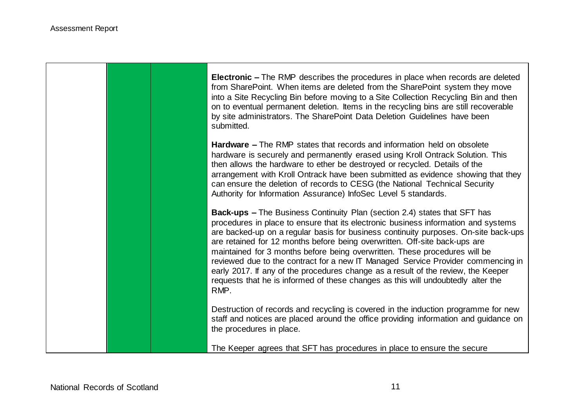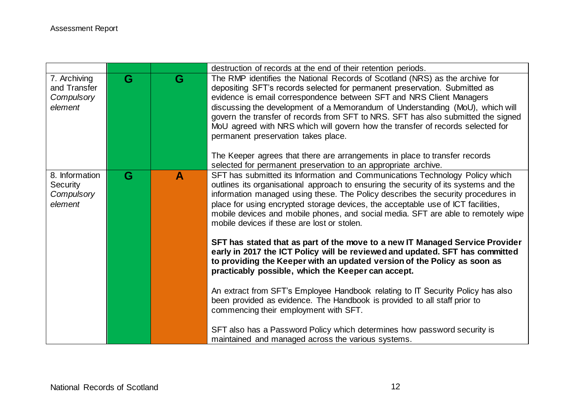|                                                            |   |   | destruction of records at the end of their retention periods.                                                                                                                                                                                                                                                                                                                                                                                                                                                                                                                                                                                                                                                                                                                                                                                                                                                                                                                                                                                                                                                                 |
|------------------------------------------------------------|---|---|-------------------------------------------------------------------------------------------------------------------------------------------------------------------------------------------------------------------------------------------------------------------------------------------------------------------------------------------------------------------------------------------------------------------------------------------------------------------------------------------------------------------------------------------------------------------------------------------------------------------------------------------------------------------------------------------------------------------------------------------------------------------------------------------------------------------------------------------------------------------------------------------------------------------------------------------------------------------------------------------------------------------------------------------------------------------------------------------------------------------------------|
| 7. Archiving<br>and Transfer<br>Compulsory<br>element      | G | G | The RMP identifies the National Records of Scotland (NRS) as the archive for<br>depositing SFT's records selected for permanent preservation. Submitted as<br>evidence is email correspondence between SFT and NRS Client Managers<br>discussing the development of a Memorandum of Understanding (MoU), which will<br>govern the transfer of records from SFT to NRS. SFT has also submitted the signed<br>MoU agreed with NRS which will govern how the transfer of records selected for<br>permanent preservation takes place.<br>The Keeper agrees that there are arrangements in place to transfer records<br>selected for permanent preservation to an appropriate archive.                                                                                                                                                                                                                                                                                                                                                                                                                                             |
| 8. Information<br><b>Security</b><br>Compulsory<br>element | G | A | SFT has submitted its Information and Communications Technology Policy which<br>outlines its organisational approach to ensuring the security of its systems and the<br>information managed using these. The Policy describes the security procedures in<br>place for using encrypted storage devices, the acceptable use of ICT facilities,<br>mobile devices and mobile phones, and social media. SFT are able to remotely wipe<br>mobile devices if these are lost or stolen.<br>SFT has stated that as part of the move to a new IT Managed Service Provider<br>early in 2017 the ICT Policy will be reviewed and updated. SFT has committed<br>to providing the Keeper with an updated version of the Policy as soon as<br>practicably possible, which the Keeper can accept.<br>An extract from SFT's Employee Handbook relating to IT Security Policy has also<br>been provided as evidence. The Handbook is provided to all staff prior to<br>commencing their employment with SFT.<br>SFT also has a Password Policy which determines how password security is<br>maintained and managed across the various systems. |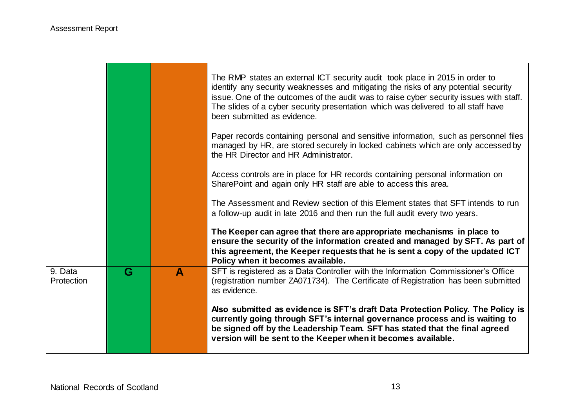|                       |   |   | The RMP states an external ICT security audit took place in 2015 in order to<br>identify any security weaknesses and mitigating the risks of any potential security<br>issue. One of the outcomes of the audit was to raise cyber security issues with staff.<br>The slides of a cyber security presentation which was delivered to all staff have<br>been submitted as evidence. |
|-----------------------|---|---|-----------------------------------------------------------------------------------------------------------------------------------------------------------------------------------------------------------------------------------------------------------------------------------------------------------------------------------------------------------------------------------|
|                       |   |   | Paper records containing personal and sensitive information, such as personnel files<br>managed by HR, are stored securely in locked cabinets which are only accessed by<br>the HR Director and HR Administrator.                                                                                                                                                                 |
|                       |   |   | Access controls are in place for HR records containing personal information on<br>SharePoint and again only HR staff are able to access this area.                                                                                                                                                                                                                                |
|                       |   |   | The Assessment and Review section of this Element states that SFT intends to run<br>a follow-up audit in late 2016 and then run the full audit every two years.                                                                                                                                                                                                                   |
|                       |   |   | The Keeper can agree that there are appropriate mechanisms in place to<br>ensure the security of the information created and managed by SFT. As part of<br>this agreement, the Keeper requests that he is sent a copy of the updated ICT<br>Policy when it becomes available.                                                                                                     |
| 9. Data<br>Protection | G | A | SFT is registered as a Data Controller with the Information Commissioner's Office<br>(registration number ZA071734). The Certificate of Registration has been submitted<br>as evidence.                                                                                                                                                                                           |
|                       |   |   | Also submitted as evidence is SFT's draft Data Protection Policy. The Policy is<br>currently going through SFT's internal governance process and is waiting to<br>be signed off by the Leadership Team. SFT has stated that the final agreed<br>version will be sent to the Keeper when it becomes available.                                                                     |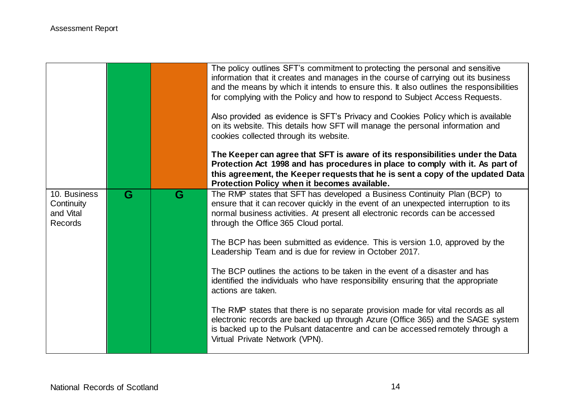|                                                           |   |   | The policy outlines SFT's commitment to protecting the personal and sensitive<br>information that it creates and manages in the course of carrying out its business<br>and the means by which it intends to ensure this. It also outlines the responsibilities<br>for complying with the Policy and how to respond to Subject Access Requests.<br>Also provided as evidence is SFT's Privacy and Cookies Policy which is available<br>on its website. This details how SFT will manage the personal information and<br>cookies collected through its website.<br>The Keeper can agree that SFT is aware of its responsibilities under the Data<br>Protection Act 1998 and has procedures in place to comply with it. As part of<br>this agreement, the Keeper requests that he is sent a copy of the updated Data<br>Protection Policy when it becomes available. |
|-----------------------------------------------------------|---|---|-------------------------------------------------------------------------------------------------------------------------------------------------------------------------------------------------------------------------------------------------------------------------------------------------------------------------------------------------------------------------------------------------------------------------------------------------------------------------------------------------------------------------------------------------------------------------------------------------------------------------------------------------------------------------------------------------------------------------------------------------------------------------------------------------------------------------------------------------------------------|
| 10. Business<br>Continuity<br>and Vital<br><b>Records</b> | G | G | The RMP states that SFT has developed a Business Continuity Plan (BCP) to<br>ensure that it can recover quickly in the event of an unexpected interruption to its<br>normal business activities. At present all electronic records can be accessed<br>through the Office 365 Cloud portal.                                                                                                                                                                                                                                                                                                                                                                                                                                                                                                                                                                        |
|                                                           |   |   | The BCP has been submitted as evidence. This is version 1.0, approved by the<br>Leadership Team and is due for review in October 2017.                                                                                                                                                                                                                                                                                                                                                                                                                                                                                                                                                                                                                                                                                                                            |
|                                                           |   |   | The BCP outlines the actions to be taken in the event of a disaster and has<br>identified the individuals who have responsibility ensuring that the appropriate<br>actions are taken.                                                                                                                                                                                                                                                                                                                                                                                                                                                                                                                                                                                                                                                                             |
|                                                           |   |   | The RMP states that there is no separate provision made for vital records as all<br>electronic records are backed up through Azure (Office 365) and the SAGE system<br>is backed up to the Pulsant datacentre and can be accessed remotely through a<br>Virtual Private Network (VPN).                                                                                                                                                                                                                                                                                                                                                                                                                                                                                                                                                                            |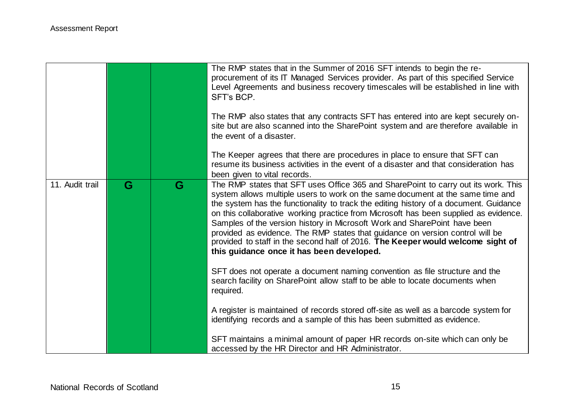|                 |   |   | The RMP states that in the Summer of 2016 SFT intends to begin the re-<br>procurement of its IT Managed Services provider. As part of this specified Service<br>Level Agreements and business recovery timescales will be established in line with<br>SFT's BCP.<br>The RMP also states that any contracts SFT has entered into are kept securely on-<br>site but are also scanned into the SharePoint system and are therefore available in<br>the event of a disaster.<br>The Keeper agrees that there are procedures in place to ensure that SFT can<br>resume its business activities in the event of a disaster and that consideration has<br>been given to vital records. |
|-----------------|---|---|---------------------------------------------------------------------------------------------------------------------------------------------------------------------------------------------------------------------------------------------------------------------------------------------------------------------------------------------------------------------------------------------------------------------------------------------------------------------------------------------------------------------------------------------------------------------------------------------------------------------------------------------------------------------------------|
| 11. Audit trail | G | G | The RMP states that SFT uses Office 365 and SharePoint to carry out its work. This<br>system allows multiple users to work on the same document at the same time and<br>the system has the functionality to track the editing history of a document. Guidance<br>on this collaborative working practice from Microsoft has been supplied as evidence.<br>Samples of the version history in Microsoft Work and SharePoint have been<br>provided as evidence. The RMP states that guidance on version control will be<br>provided to staff in the second half of 2016. The Keeper would welcome sight of<br>this guidance once it has been developed.                             |
|                 |   |   | SFT does not operate a document naming convention as file structure and the<br>search facility on SharePoint allow staff to be able to locate documents when<br>required.                                                                                                                                                                                                                                                                                                                                                                                                                                                                                                       |
|                 |   |   | A register is maintained of records stored off-site as well as a barcode system for<br>identifying records and a sample of this has been submitted as evidence.                                                                                                                                                                                                                                                                                                                                                                                                                                                                                                                 |
|                 |   |   | SFT maintains a minimal amount of paper HR records on-site which can only be<br>accessed by the HR Director and HR Administrator.                                                                                                                                                                                                                                                                                                                                                                                                                                                                                                                                               |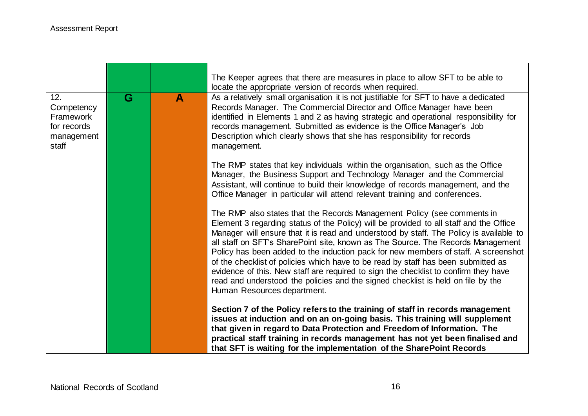|                                                                             |   |              | The Keeper agrees that there are measures in place to allow SFT to be able to<br>locate the appropriate version of records when required.                                                                                                                                                                                                                                                                                                                                                                                                                                                                                                                                                                                            |
|-----------------------------------------------------------------------------|---|--------------|--------------------------------------------------------------------------------------------------------------------------------------------------------------------------------------------------------------------------------------------------------------------------------------------------------------------------------------------------------------------------------------------------------------------------------------------------------------------------------------------------------------------------------------------------------------------------------------------------------------------------------------------------------------------------------------------------------------------------------------|
| 12.<br>Competency<br><b>Framework</b><br>for records<br>management<br>staff | G | $\mathbf{A}$ | As a relatively small organisation it is not justifiable for SFT to have a dedicated<br>Records Manager. The Commercial Director and Office Manager have been<br>identified in Elements 1 and 2 as having strategic and operational responsibility for<br>records management. Submitted as evidence is the Office Manager's Job<br>Description which clearly shows that she has responsibility for records<br>management.                                                                                                                                                                                                                                                                                                            |
|                                                                             |   |              | The RMP states that key individuals within the organisation, such as the Office<br>Manager, the Business Support and Technology Manager and the Commercial<br>Assistant, will continue to build their knowledge of records management, and the<br>Office Manager in particular will attend relevant training and conferences.                                                                                                                                                                                                                                                                                                                                                                                                        |
|                                                                             |   |              | The RMP also states that the Records Management Policy (see comments in<br>Element 3 regarding status of the Policy) will be provided to all staff and the Office<br>Manager will ensure that it is read and understood by staff. The Policy is available to<br>all staff on SFT's SharePoint site, known as The Source. The Records Management<br>Policy has been added to the induction pack for new members of staff. A screenshot<br>of the checklist of policies which have to be read by staff has been submitted as<br>evidence of this. New staff are required to sign the checklist to confirm they have<br>read and understood the policies and the signed checklist is held on file by the<br>Human Resources department. |
|                                                                             |   |              | Section 7 of the Policy refers to the training of staff in records management<br>issues at induction and on an on-going basis. This training will supplement<br>that given in regard to Data Protection and Freedom of Information. The<br>practical staff training in records management has not yet been finalised and<br>that SFT is waiting for the implementation of the SharePoint Records                                                                                                                                                                                                                                                                                                                                     |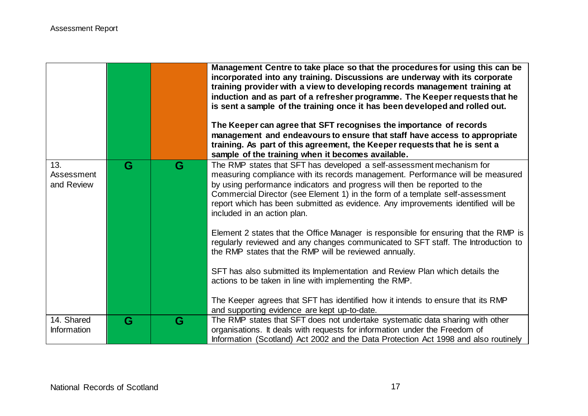|                                  |   |   | Management Centre to take place so that the procedures for using this can be<br>incorporated into any training. Discussions are underway with its corporate<br>training provider with a view to developing records management training at<br>induction and as part of a refresher programme. The Keeper requests that he<br>is sent a sample of the training once it has been developed and rolled out.<br>The Keeper can agree that SFT recognises the importance of records<br>management and endeavours to ensure that staff have access to appropriate<br>training. As part of this agreement, the Keeper requests that he is sent a<br>sample of the training when it becomes available. |
|----------------------------------|---|---|-----------------------------------------------------------------------------------------------------------------------------------------------------------------------------------------------------------------------------------------------------------------------------------------------------------------------------------------------------------------------------------------------------------------------------------------------------------------------------------------------------------------------------------------------------------------------------------------------------------------------------------------------------------------------------------------------|
| 13.<br>Assessment                | G | G | The RMP states that SFT has developed a self-assessment mechanism for<br>measuring compliance with its records management. Performance will be measured                                                                                                                                                                                                                                                                                                                                                                                                                                                                                                                                       |
| and Review                       |   |   | by using performance indicators and progress will then be reported to the<br>Commercial Director (see Element 1) in the form of a template self-assessment                                                                                                                                                                                                                                                                                                                                                                                                                                                                                                                                    |
|                                  |   |   | report which has been submitted as evidence. Any improvements identified will be<br>included in an action plan.                                                                                                                                                                                                                                                                                                                                                                                                                                                                                                                                                                               |
|                                  |   |   | Element 2 states that the Office Manager is responsible for ensuring that the RMP is<br>regularly reviewed and any changes communicated to SFT staff. The Introduction to<br>the RMP states that the RMP will be reviewed annually.                                                                                                                                                                                                                                                                                                                                                                                                                                                           |
|                                  |   |   | SFT has also submitted its Implementation and Review Plan which details the                                                                                                                                                                                                                                                                                                                                                                                                                                                                                                                                                                                                                   |
|                                  |   |   | actions to be taken in line with implementing the RMP.                                                                                                                                                                                                                                                                                                                                                                                                                                                                                                                                                                                                                                        |
|                                  |   |   | The Keeper agrees that SFT has identified how it intends to ensure that its RMP                                                                                                                                                                                                                                                                                                                                                                                                                                                                                                                                                                                                               |
|                                  |   |   | and supporting evidence are kept up-to-date.                                                                                                                                                                                                                                                                                                                                                                                                                                                                                                                                                                                                                                                  |
| 14. Shared<br><b>Information</b> | G | G | The RMP states that SFT does not undertake systematic data sharing with other<br>organisations. It deals with requests for information under the Freedom of                                                                                                                                                                                                                                                                                                                                                                                                                                                                                                                                   |
|                                  |   |   | Information (Scotland) Act 2002 and the Data Protection Act 1998 and also routinely                                                                                                                                                                                                                                                                                                                                                                                                                                                                                                                                                                                                           |
|                                  |   |   |                                                                                                                                                                                                                                                                                                                                                                                                                                                                                                                                                                                                                                                                                               |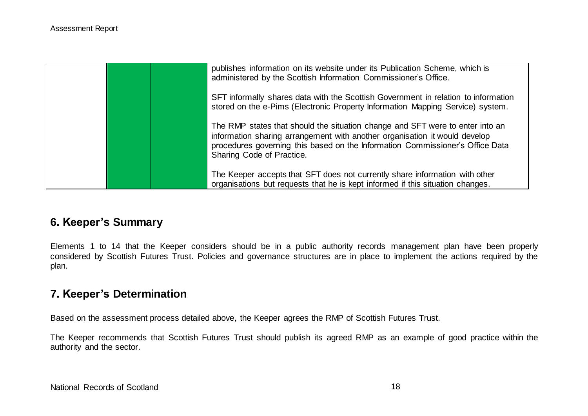| publishes information on its website under its Publication Scheme, which is<br>administered by the Scottish Information Commissioner's Office.                                                                                                                            |
|---------------------------------------------------------------------------------------------------------------------------------------------------------------------------------------------------------------------------------------------------------------------------|
| SFT informally shares data with the Scottish Government in relation to information<br>stored on the e-Pims (Electronic Property Information Mapping Service) system.                                                                                                      |
| The RMP states that should the situation change and SFT were to enter into an<br>information sharing arrangement with another organisation it would develop<br>procedures governing this based on the Information Commissioner's Office Data<br>Sharing Code of Practice. |
| The Keeper accepts that SFT does not currently share information with other<br>organisations but requests that he is kept informed if this situation changes.                                                                                                             |

# **6. Keeper's Summary**

Elements 1 to 14 that the Keeper considers should be in a public authority records management plan have been properly considered by Scottish Futures Trust. Policies and governance structures are in place to implement the actions required by the plan.

## **7. Keeper's Determination**

Based on the assessment process detailed above, the Keeper agrees the RMP of Scottish Futures Trust.

The Keeper recommends that Scottish Futures Trust should publish its agreed RMP as an example of good practice within the authority and the sector.